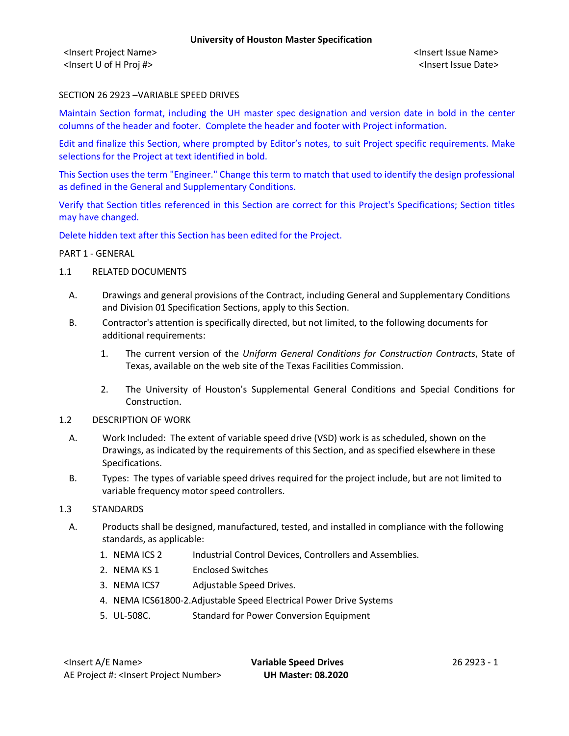<Insert Project Name> <Insert Issue Name> <Insert U of H Proj #> <Insert Issue Date>

### SECTION 26 2923 –VARIABLE SPEED DRIVES

Maintain Section format, including the UH master spec designation and version date in bold in the center columns of the header and footer. Complete the header and footer with Project information.

Edit and finalize this Section, where prompted by Editor's notes, to suit Project specific requirements. Make selections for the Project at text identified in bold.

This Section uses the term "Engineer." Change this term to match that used to identify the design professional as defined in the General and Supplementary Conditions.

Verify that Section titles referenced in this Section are correct for this Project's Specifications; Section titles may have changed.

Delete hidden text after this Section has been edited for the Project.

#### PART 1 - GENERAL

- 1.1 RELATED DOCUMENTS
	- A. Drawings and general provisions of the Contract, including General and Supplementary Conditions and Division 01 Specification Sections, apply to this Section.
	- B. Contractor's attention is specifically directed, but not limited, to the following documents for additional requirements:
		- 1. The current version of the *Uniform General Conditions for Construction Contracts*, State of Texas, available on the web site of the Texas Facilities Commission.
		- 2. The University of Houston's Supplemental General Conditions and Special Conditions for Construction.
- 1.2 DESCRIPTION OF WORK
	- A. Work Included: The extent of variable speed drive (VSD) work is as scheduled, shown on the Drawings, as indicated by the requirements of this Section, and as specified elsewhere in these Specifications.
	- B. Types: The types of variable speed drives required for the project include, but are not limited to variable frequency motor speed controllers.
- 1.3 STANDARDS
	- A. Products shall be designed, manufactured, tested, and installed in compliance with the following standards, as applicable:
		- 1. NEMA ICS 2 Industrial Control Devices, Controllers and Assemblies.
		- 2. NEMA KS 1 Enclosed Switches
		- 3. NEMA ICS7 Adjustable Speed Drives.
		- 4. NEMA ICS61800-2.Adjustable Speed Electrical Power Drive Systems
		- 5. UL-508C. Standard for Power Conversion Equipment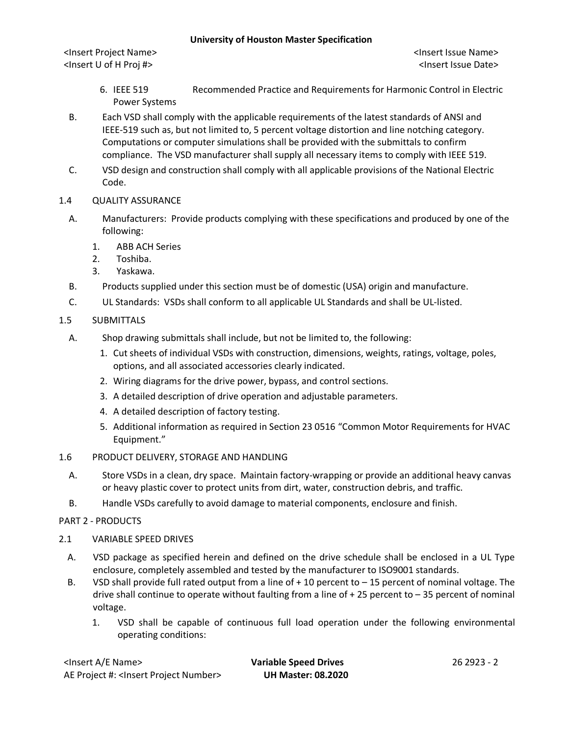<Insert Project Name> <Insert Issue Name> <Insert U of H Proj #> <Insert Issue Date>

- 6. IEEE 519 Recommended Practice and Requirements for Harmonic Control in Electric Power Systems
- B. Each VSD shall comply with the applicable requirements of the latest standards of ANSI and IEEE-519 such as, but not limited to, 5 percent voltage distortion and line notching category. Computations or computer simulations shall be provided with the submittals to confirm compliance. The VSD manufacturer shall supply all necessary items to comply with IEEE 519.
- C. VSD design and construction shall comply with all applicable provisions of the National Electric Code.
- 1.4 QUALITY ASSURANCE
	- A. Manufacturers: Provide products complying with these specifications and produced by one of the following:
		- 1. ABB ACH Series
		- 2. Toshiba.
		- 3. Yaskawa.
	- B. Products supplied under this section must be of domestic (USA) origin and manufacture.
	- C. UL Standards: VSDs shall conform to all applicable UL Standards and shall be UL-listed.
- 1.5 SUBMITTALS
	- A. Shop drawing submittals shall include, but not be limited to, the following:
		- 1. Cut sheets of individual VSDs with construction, dimensions, weights, ratings, voltage, poles, options, and all associated accessories clearly indicated.
		- 2. Wiring diagrams for the drive power, bypass, and control sections.
		- 3. A detailed description of drive operation and adjustable parameters.
		- 4. A detailed description of factory testing.
		- 5. Additional information as required in Section 23 0516 "Common Motor Requirements for HVAC Equipment."
- 1.6 PRODUCT DELIVERY, STORAGE AND HANDLING
	- A. Store VSDs in a clean, dry space. Maintain factory-wrapping or provide an additional heavy canvas or heavy plastic cover to protect units from dirt, water, construction debris, and traffic.
	- B. Handle VSDs carefully to avoid damage to material components, enclosure and finish.

# PART 2 - PRODUCTS

# 2.1 VARIABLE SPEED DRIVES

- A. VSD package as specified herein and defined on the drive schedule shall be enclosed in a UL Type enclosure, completely assembled and tested by the manufacturer to ISO9001 standards.
- B. VSD shall provide full rated output from a line of + 10 percent to 15 percent of nominal voltage. The drive shall continue to operate without faulting from a line of + 25 percent to – 35 percent of nominal voltage.
	- 1. VSD shall be capable of continuous full load operation under the following environmental operating conditions:

| <lnsert a="" e="" name=""></lnsert>                  |
|------------------------------------------------------|
| AE Project #: <lnsert number="" project=""></lnsert> |

**Variable Speed Drives** 26 2923 - 2 AE Project #: <Insert Project Number> **UH Master: 08.2020**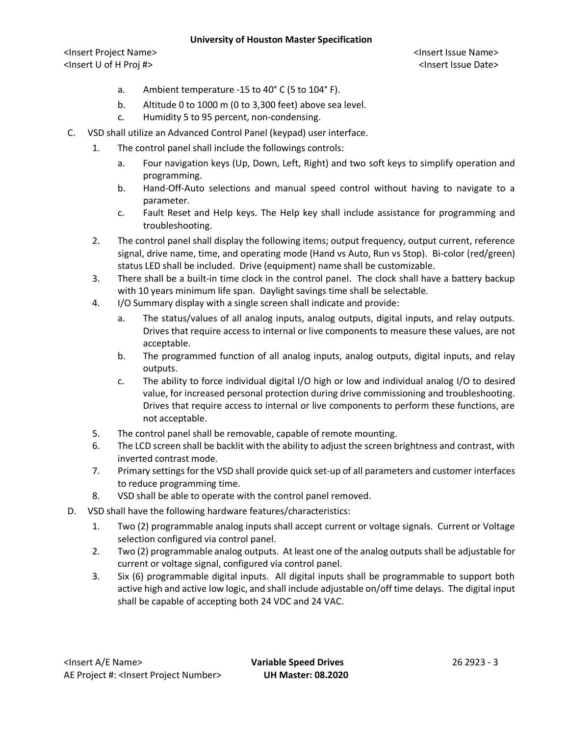<Insert Project Name> <Insert Issue Name> <Insert U of H Proj #> <Insert Issue Date>

- a. Ambient temperature -15 to 40° C (5 to 104° F).
- b. Altitude 0 to 1000 m (0 to 3,300 feet) above sea level.
- c. Humidity 5 to 95 percent, non-condensing.
- C. VSD shall utilize an Advanced Control Panel (keypad) user interface.
	- 1. The control panel shall include the followings controls:
		- a. Four navigation keys (Up, Down, Left, Right) and two soft keys to simplify operation and programming.
		- b. Hand-Off-Auto selections and manual speed control without having to navigate to a parameter.
		- c. Fault Reset and Help keys. The Help key shall include assistance for programming and troubleshooting.
	- 2. The control panel shall display the following items; output frequency, output current, reference signal, drive name, time, and operating mode (Hand vs Auto, Run vs Stop). Bi-color (red/green) status LED shall be included. Drive (equipment) name shall be customizable.
	- 3. There shall be a built-in time clock in the control panel. The clock shall have a battery backup with 10 years minimum life span. Daylight savings time shall be selectable.
	- 4. I/O Summary display with a single screen shall indicate and provide:
		- a. The status/values of all analog inputs, analog outputs, digital inputs, and relay outputs. Drives that require access to internal or live components to measure these values, are not acceptable.
		- b. The programmed function of all analog inputs, analog outputs, digital inputs, and relay outputs.
		- c. The ability to force individual digital I/O high or low and individual analog I/O to desired value, for increased personal protection during drive commissioning and troubleshooting. Drives that require access to internal or live components to perform these functions, are not acceptable.
	- 5. The control panel shall be removable, capable of remote mounting.
	- 6. The LCD screen shall be backlit with the ability to adjust the screen brightness and contrast, with inverted contrast mode.
	- 7. Primary settings for the VSD shall provide quick set-up of all parameters and customer interfaces to reduce programming time.
	- 8. VSD shall be able to operate with the control panel removed.
- D. VSD shall have the following hardware features/characteristics:
	- 1. Two (2) programmable analog inputs shall accept current or voltage signals. Current or Voltage selection configured via control panel.
	- 2. Two (2) programmable analog outputs. At least one of the analog outputs shall be adjustable for current or voltage signal, configured via control panel.
	- 3. Six (6) programmable digital inputs. All digital inputs shall be programmable to support both active high and active low logic, and shall include adjustable on/off time delays. The digital input shall be capable of accepting both 24 VDC and 24 VAC.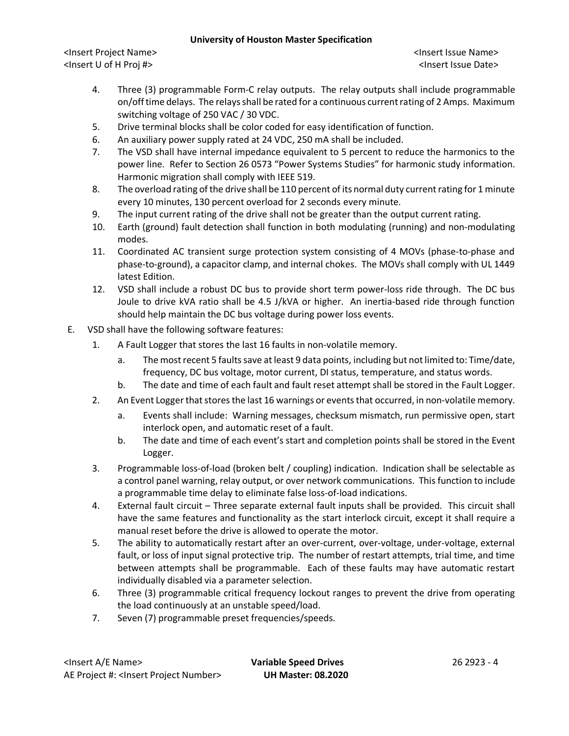<Insert Project Name> <Insert Issue Name> <Insert U of H Proj #> <Insert Issue Date>

- 4. Three (3) programmable Form-C relay outputs. The relay outputs shall include programmable on/off time delays. The relays shall be rated for a continuous current rating of 2 Amps. Maximum switching voltage of 250 VAC / 30 VDC.
- 5. Drive terminal blocks shall be color coded for easy identification of function.
- 6. An auxiliary power supply rated at 24 VDC, 250 mA shall be included.
- 7. The VSD shall have internal impedance equivalent to 5 percent to reduce the harmonics to the power line. Refer to Section 26 0573 "Power Systems Studies" for harmonic study information. Harmonic migration shall comply with IEEE 519.
- 8. The overload rating of the drive shall be 110 percent of its normal duty current rating for 1 minute every 10 minutes, 130 percent overload for 2 seconds every minute.
- 9. The input current rating of the drive shall not be greater than the output current rating.
- 10. Earth (ground) fault detection shall function in both modulating (running) and non-modulating modes.
- 11. Coordinated AC transient surge protection system consisting of 4 MOVs (phase-to-phase and phase-to-ground), a capacitor clamp, and internal chokes. The MOVs shall comply with UL 1449 latest Edition.
- 12. VSD shall include a robust DC bus to provide short term power-loss ride through. The DC bus Joule to drive kVA ratio shall be 4.5 J/kVA or higher. An inertia-based ride through function should help maintain the DC bus voltage during power loss events.
- E. VSD shall have the following software features:
	- 1. A Fault Logger that stores the last 16 faults in non-volatile memory.
		- a. The most recent 5 faults save at least 9 data points, including but not limited to: Time/date, frequency, DC bus voltage, motor current, DI status, temperature, and status words.
		- b. The date and time of each fault and fault reset attempt shall be stored in the Fault Logger.
	- 2. An Event Logger that stores the last 16 warnings or events that occurred, in non-volatile memory.
		- a. Events shall include: Warning messages, checksum mismatch, run permissive open, start interlock open, and automatic reset of a fault.
		- b. The date and time of each event's start and completion points shall be stored in the Event Logger.
	- 3. Programmable loss-of-load (broken belt / coupling) indication. Indication shall be selectable as a control panel warning, relay output, or over network communications. This function to include a programmable time delay to eliminate false loss-of-load indications.
	- 4. External fault circuit Three separate external fault inputs shall be provided. This circuit shall have the same features and functionality as the start interlock circuit, except it shall require a manual reset before the drive is allowed to operate the motor.
	- 5. The ability to automatically restart after an over-current, over-voltage, under-voltage, external fault, or loss of input signal protective trip. The number of restart attempts, trial time, and time between attempts shall be programmable. Each of these faults may have automatic restart individually disabled via a parameter selection.
	- 6. Three (3) programmable critical frequency lockout ranges to prevent the drive from operating the load continuously at an unstable speed/load.
	- 7. Seven (7) programmable preset frequencies/speeds.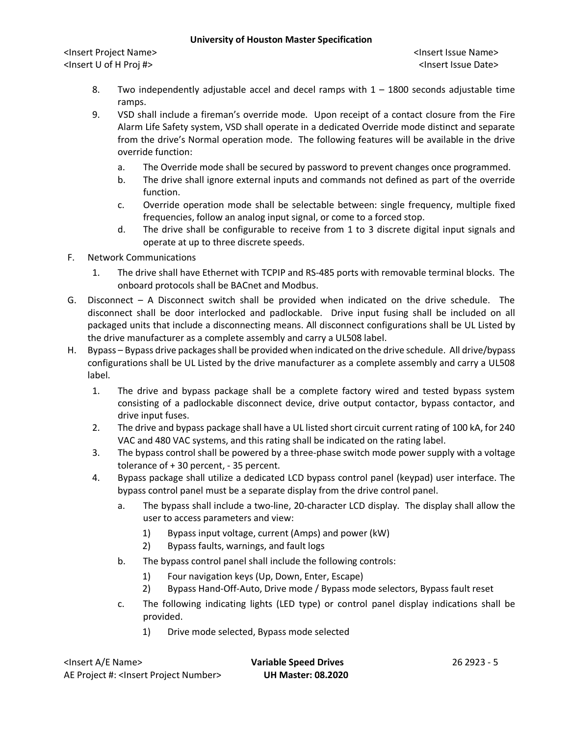<Insert Project Name> <Insert Issue Name> <Insert U of H Proj #> <Insert Issue Date>

- 8. Two independently adjustable accel and decel ramps with 1 1800 seconds adjustable time ramps.
- 9. VSD shall include a fireman's override mode. Upon receipt of a contact closure from the Fire Alarm Life Safety system, VSD shall operate in a dedicated Override mode distinct and separate from the drive's Normal operation mode. The following features will be available in the drive override function:
	- a. The Override mode shall be secured by password to prevent changes once programmed.
	- b. The drive shall ignore external inputs and commands not defined as part of the override function.
	- c. Override operation mode shall be selectable between: single frequency, multiple fixed frequencies, follow an analog input signal, or come to a forced stop.
	- d. The drive shall be configurable to receive from 1 to 3 discrete digital input signals and operate at up to three discrete speeds.
- F. Network Communications
	- 1. The drive shall have Ethernet with TCPIP and RS-485 ports with removable terminal blocks. The onboard protocols shall be BACnet and Modbus.
- G. Disconnect A Disconnect switch shall be provided when indicated on the drive schedule. The disconnect shall be door interlocked and padlockable. Drive input fusing shall be included on all packaged units that include a disconnecting means. All disconnect configurations shall be UL Listed by the drive manufacturer as a complete assembly and carry a UL508 label.
- H. Bypass Bypass drive packages shall be provided when indicated on the drive schedule. All drive/bypass configurations shall be UL Listed by the drive manufacturer as a complete assembly and carry a UL508 label.
	- 1. The drive and bypass package shall be a complete factory wired and tested bypass system consisting of a padlockable disconnect device, drive output contactor, bypass contactor, and drive input fuses.
	- 2. The drive and bypass package shall have a UL listed short circuit current rating of 100 kA, for 240 VAC and 480 VAC systems, and this rating shall be indicated on the rating label.
	- 3. The bypass control shall be powered by a three-phase switch mode power supply with a voltage tolerance of + 30 percent, - 35 percent.
	- 4. Bypass package shall utilize a dedicated LCD bypass control panel (keypad) user interface. The bypass control panel must be a separate display from the drive control panel.
		- a. The bypass shall include a two-line, 20-character LCD display. The display shall allow the user to access parameters and view:
			- 1) Bypass input voltage, current (Amps) and power (kW)
			- 2) Bypass faults, warnings, and fault logs
		- b. The bypass control panel shall include the following controls:
			- 1) Four navigation keys (Up, Down, Enter, Escape)
			- 2) Bypass Hand-Off-Auto, Drive mode / Bypass mode selectors, Bypass fault reset
		- c. The following indicating lights (LED type) or control panel display indications shall be provided.
			- 1) Drive mode selected, Bypass mode selected

| <lnsert a="" e="" name=""></lnsert>                  | <b>Variable Speed Drives</b> | 26 29 23 - 5 |
|------------------------------------------------------|------------------------------|--------------|
| AE Project #: <lnsert number="" project=""></lnsert> | <b>UH Master: 08.2020</b>    |              |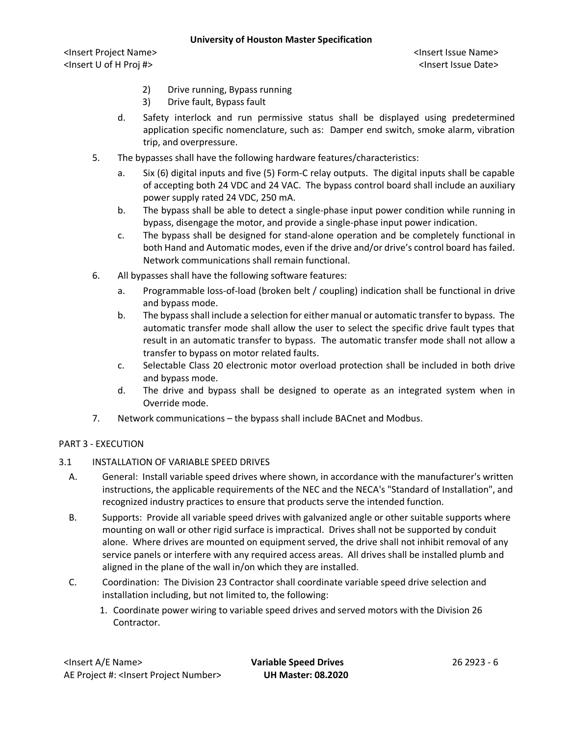<Insert Project Name> <Insert Issue Name> <Insert U of H Proj #> <Insert Issue Date>

- 2) Drive running, Bypass running
- 3) Drive fault, Bypass fault
- d. Safety interlock and run permissive status shall be displayed using predetermined application specific nomenclature, such as: Damper end switch, smoke alarm, vibration trip, and overpressure.
- 5. The bypasses shall have the following hardware features/characteristics:
	- a. Six (6) digital inputs and five (5) Form-C relay outputs. The digital inputs shall be capable of accepting both 24 VDC and 24 VAC. The bypass control board shall include an auxiliary power supply rated 24 VDC, 250 mA.
	- b. The bypass shall be able to detect a single-phase input power condition while running in bypass, disengage the motor, and provide a single-phase input power indication.
	- c. The bypass shall be designed for stand-alone operation and be completely functional in both Hand and Automatic modes, even if the drive and/or drive's control board has failed. Network communications shall remain functional.
- 6. All bypasses shall have the following software features:
	- a. Programmable loss-of-load (broken belt / coupling) indication shall be functional in drive and bypass mode.
	- b. The bypass shall include a selection for either manual or automatic transfer to bypass. The automatic transfer mode shall allow the user to select the specific drive fault types that result in an automatic transfer to bypass. The automatic transfer mode shall not allow a transfer to bypass on motor related faults.
	- c. Selectable Class 20 electronic motor overload protection shall be included in both drive and bypass mode.
	- d. The drive and bypass shall be designed to operate as an integrated system when in Override mode.
- 7. Network communications the bypass shall include BACnet and Modbus.

# PART 3 - EXECUTION

# 3.1 INSTALLATION OF VARIABLE SPEED DRIVES

- A. General: Install variable speed drives where shown, in accordance with the manufacturer's written instructions, the applicable requirements of the NEC and the NECA's "Standard of Installation", and recognized industry practices to ensure that products serve the intended function.
- B. Supports: Provide all variable speed drives with galvanized angle or other suitable supports where mounting on wall or other rigid surface is impractical. Drives shall not be supported by conduit alone. Where drives are mounted on equipment served, the drive shall not inhibit removal of any service panels or interfere with any required access areas. All drives shall be installed plumb and aligned in the plane of the wall in/on which they are installed.
- C. Coordination: The Division 23 Contractor shall coordinate variable speed drive selection and installation including, but not limited to, the following:
	- 1. Coordinate power wiring to variable speed drives and served motors with the Division 26 Contractor.